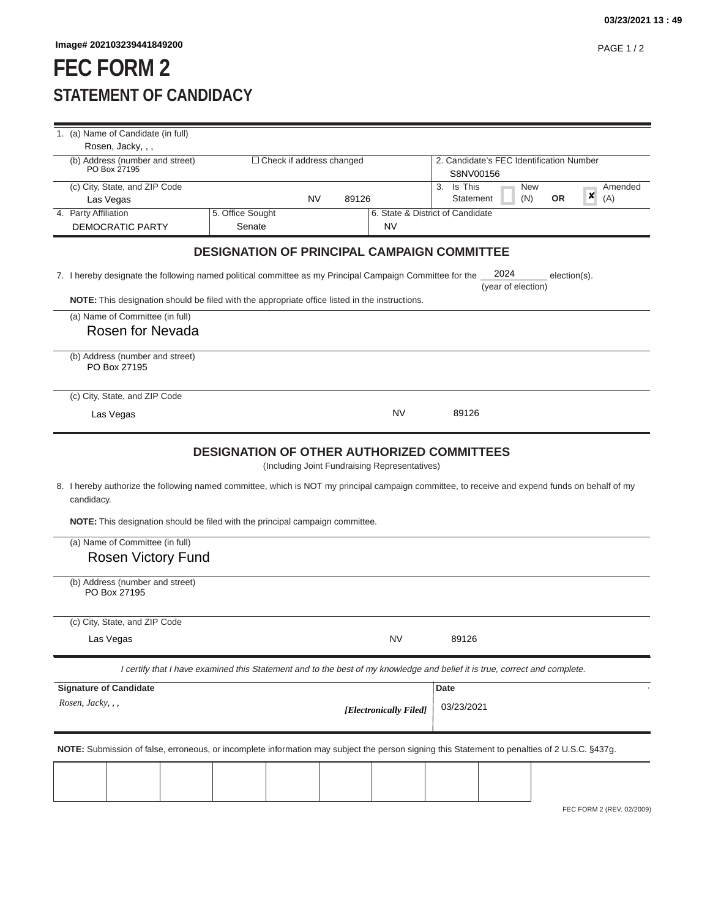## **FEC FORM 2 STATEMENT OF CANDIDACY**

| 1. (a) Name of Candidate (in full)                                                                                                                     |                                 |           |       |                                                       |                                                                                                                                                |  |  |
|--------------------------------------------------------------------------------------------------------------------------------------------------------|---------------------------------|-----------|-------|-------------------------------------------------------|------------------------------------------------------------------------------------------------------------------------------------------------|--|--|
| Rosen, Jacky, , ,                                                                                                                                      |                                 |           |       |                                                       |                                                                                                                                                |  |  |
| (b) Address (number and street)<br>PO Box 27195                                                                                                        | $\Box$ Check if address changed |           |       | 2. Candidate's FEC Identification Number<br>S8NV00156 |                                                                                                                                                |  |  |
| (c) City, State, and ZIP Code                                                                                                                          |                                 |           |       |                                                       | 3. Is This<br>Amended<br>New                                                                                                                   |  |  |
| Las Vegas                                                                                                                                              |                                 | <b>NV</b> | 89126 |                                                       | ×<br>(N)<br><b>OR</b><br>(A)<br>Statement                                                                                                      |  |  |
| 4. Party Affiliation                                                                                                                                   | 5. Office Sought                |           |       |                                                       | 6. State & District of Candidate                                                                                                               |  |  |
| DEMOCRATIC PARTY                                                                                                                                       | Senate                          |           |       | <b>NV</b>                                             |                                                                                                                                                |  |  |
|                                                                                                                                                        |                                 |           |       |                                                       | <b>DESIGNATION OF PRINCIPAL CAMPAIGN COMMITTEE</b>                                                                                             |  |  |
| 2024<br>7. I hereby designate the following named political committee as my Principal Campaign Committee for the<br>election(s).<br>(year of election) |                                 |           |       |                                                       |                                                                                                                                                |  |  |
| NOTE: This designation should be filed with the appropriate office listed in the instructions.                                                         |                                 |           |       |                                                       |                                                                                                                                                |  |  |
| (a) Name of Committee (in full)                                                                                                                        |                                 |           |       |                                                       |                                                                                                                                                |  |  |
| Rosen for Nevada                                                                                                                                       |                                 |           |       |                                                       |                                                                                                                                                |  |  |
|                                                                                                                                                        |                                 |           |       |                                                       |                                                                                                                                                |  |  |
| (b) Address (number and street)<br>PO Box 27195                                                                                                        |                                 |           |       |                                                       |                                                                                                                                                |  |  |
| (c) City, State, and ZIP Code                                                                                                                          |                                 |           |       |                                                       |                                                                                                                                                |  |  |
| Las Vegas                                                                                                                                              |                                 |           |       | NV                                                    | 89126                                                                                                                                          |  |  |
|                                                                                                                                                        |                                 |           |       |                                                       |                                                                                                                                                |  |  |
| candidacy.<br>NOTE: This designation should be filed with the principal campaign committee.                                                            |                                 |           |       | (Including Joint Fundraising Representatives)         | 8. I hereby authorize the following named committee, which is NOT my principal campaign committee, to receive and expend funds on behalf of my |  |  |
| (a) Name of Committee (in full)                                                                                                                        |                                 |           |       |                                                       |                                                                                                                                                |  |  |
| <b>Rosen Victory Fund</b>                                                                                                                              |                                 |           |       |                                                       |                                                                                                                                                |  |  |
| (b) Address (number and street)<br>PO Box 27195                                                                                                        |                                 |           |       |                                                       |                                                                                                                                                |  |  |
| (c) City, State, and ZIP Code                                                                                                                          |                                 |           |       |                                                       |                                                                                                                                                |  |  |
| Las Vegas                                                                                                                                              |                                 |           |       | <b>NV</b>                                             | 89126                                                                                                                                          |  |  |
|                                                                                                                                                        |                                 |           |       |                                                       | I certify that I have examined this Statement and to the best of my knowledge and belief it is true, correct and complete.                     |  |  |
| <b>Signature of Candidate</b>                                                                                                                          |                                 |           |       |                                                       | Date                                                                                                                                           |  |  |
| Rosen, Jacky, , ,                                                                                                                                      |                                 |           |       | [Electronically Filed]                                | 03/23/2021                                                                                                                                     |  |  |
|                                                                                                                                                        |                                 |           |       |                                                       |                                                                                                                                                |  |  |
|                                                                                                                                                        |                                 |           |       |                                                       | NOTE: Submission of false, erroneous, or incomplete information may subject the person signing this Statement to penalties of 2 U.S.C. §437g.  |  |  |
|                                                                                                                                                        |                                 |           |       |                                                       |                                                                                                                                                |  |  |
|                                                                                                                                                        |                                 |           |       |                                                       |                                                                                                                                                |  |  |